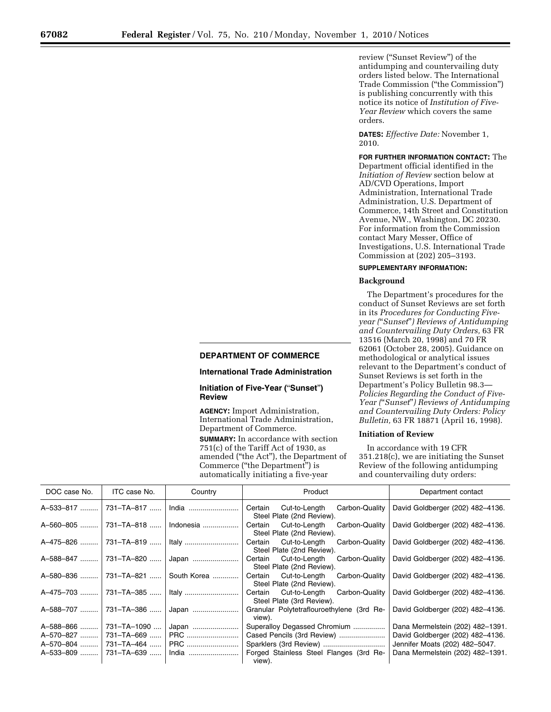review (''Sunset Review'') of the antidumping and countervailing duty orders listed below. The International Trade Commission (''the Commission'') is publishing concurrently with this notice its notice of *Institution of Five-Year Review* which covers the same orders.

**DATES:** *Effective Date:* November 1, 2010.

**FOR FURTHER INFORMATION CONTACT:** The Department official identified in the *Initiation of Review* section below at AD/CVD Operations, Import Administration, International Trade Administration, U.S. Department of Commerce, 14th Street and Constitution Avenue, NW., Washington, DC 20230. For information from the Commission contact Mary Messer, Office of Investigations, U.S. International Trade Commission at (202) 205–3193.

## **SUPPLEMENTARY INFORMATION:**

### **Background**

The Department's procedures for the conduct of Sunset Reviews are set forth in its *Procedures for Conducting Fiveyear (*''*Sunset*''*) Reviews of Antidumping and Countervailing Duty Orders,* 63 FR 13516 (March 20, 1998) and 70 FR 62061 (October 28, 2005). Guidance on methodological or analytical issues relevant to the Department's conduct of Sunset Reviews is set forth in the Department's Policy Bulletin 98.3— *Policies Regarding the Conduct of Five-Year (*''*Sunset*''*) Reviews of Antidumping and Countervailing Duty Orders: Policy Bulletin,* 63 FR 18871 (April 16, 1998).

# **Initiation of Review**

In accordance with 19 CFR 351.218(c), we are initiating the Sunset Review of the following antidumping and countervailing duty orders:

| DOC case No. | ITC case No.       | Country     | Product                                                                 | Department contact               |
|--------------|--------------------|-------------|-------------------------------------------------------------------------|----------------------------------|
| A-533-817    | 731-TA-817         | India       | Certain<br>Carbon-Quality<br>Cut-to-Length<br>Steel Plate (2nd Review). | David Goldberger (202) 482-4136. |
| A-560-805    | 731-TA-818         | Indonesia   | Cut-to-Length<br>Carbon-Quality<br>Certain<br>Steel Plate (2nd Review). | David Goldberger (202) 482-4136. |
| A-475-826    | 731-TA-819         | Italy       | Cut-to-Length<br>Certain<br>Carbon-Quality<br>Steel Plate (2nd Review). | David Goldberger (202) 482-4136. |
| A-588-847    | 731-TA-820         |             | Certain<br>Cut-to-Length<br>Carbon-Quality<br>Steel Plate (2nd Review). | David Goldberger (202) 482-4136. |
| A-580-836    | 731-TA-821         | South Korea | Cut-to-Length<br>Certain<br>Carbon-Quality<br>Steel Plate (2nd Review). | David Goldberger (202) 482-4136. |
| A-475-703    | 731-TA-385         |             | Cut-to-Length<br>Certain<br>Carbon-Quality<br>Steel Plate (3rd Review). | David Goldberger (202) 482-4136. |
| A-588-707    | 731-TA-386         | Japan       | Granular Polytetraflouroethylene (3rd Re-<br>view).                     | David Goldberger (202) 482-4136. |
| A-588-866    | $731 - T_A - 1090$ | Japan       | Superalloy Degassed Chromium                                            | Dana Mermelstein (202) 482-1391. |
| A-570-827    | 731-TA-669         | PRC         | Cased Pencils (3rd Review)                                              | David Goldberger (202) 482-4136. |
| A-570-804    | 731-TA-464         | <b>PRC</b>  | Sparklers (3rd Review)                                                  | Jennifer Moats (202) 482-5047.   |
| A-533-809    | 731-TA-639         | India       | Forged Stainless Steel Flanges (3rd Re-<br>view).                       | Dana Mermelstein (202) 482-1391. |

### **DEPARTMENT OF COMMERCE**

#### **International Trade Administration**

### **Initiation of Five-Year (**''**Sunset**''**) Review**

**AGENCY:** Import Administration, International Trade Administration, Department of Commerce. **SUMMARY:** In accordance with section  $751(c)$  of the Tariff Act of 1930, as amended (''the Act''), the Department of Commerce (''the Department'') is automatically initiating a five-year